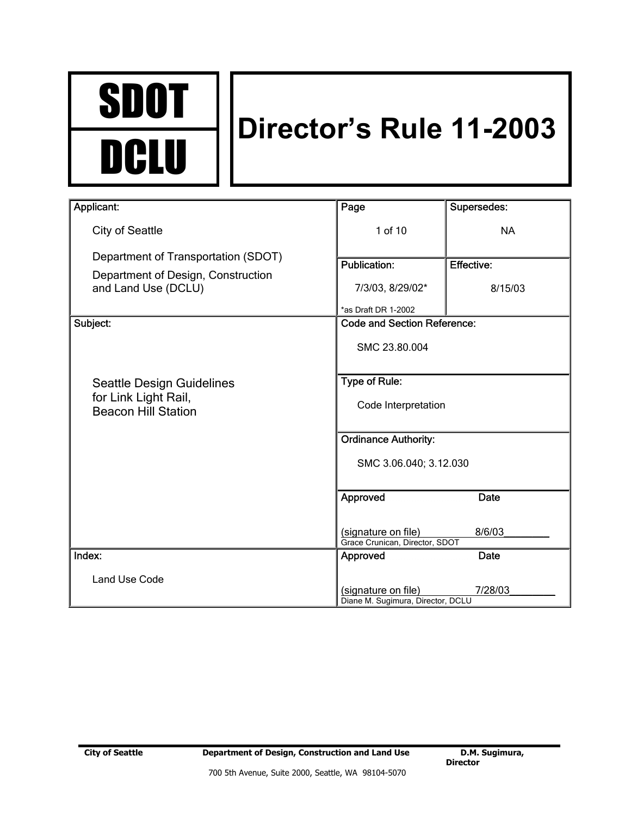

# **Director's Rule 11-2003**

| Applicant:                                                | Page                                                     | Supersedes:       |
|-----------------------------------------------------------|----------------------------------------------------------|-------------------|
| <b>City of Seattle</b>                                    | 1 of 10                                                  | <b>NA</b>         |
| Department of Transportation (SDOT)                       | <b>Publication:</b>                                      | <b>Effective:</b> |
| Department of Design, Construction<br>and Land Use (DCLU) | 7/3/03, 8/29/02*                                         | 8/15/03           |
|                                                           | *as Draft DR 1-2002                                      |                   |
| Subject:                                                  | <b>Code and Section Reference:</b>                       |                   |
|                                                           | SMC 23.80.004                                            |                   |
| Seattle Design Guidelines                                 | Type of Rule:                                            |                   |
| for Link Light Rail,<br><b>Beacon Hill Station</b>        | Code Interpretation                                      |                   |
|                                                           | <b>Ordinance Authority:</b>                              |                   |
|                                                           | SMC 3.06.040; 3.12.030                                   |                   |
|                                                           | Approved                                                 | Date              |
|                                                           | (signature on file)<br>Grace Crunican, Director, SDOT    | 8/6/03            |
| Index:                                                    | Approved                                                 | Date              |
| <b>Land Use Code</b>                                      |                                                          |                   |
|                                                           | (signature on file)<br>Diane M. Sugimura, Director, DCLU | 7/28/03           |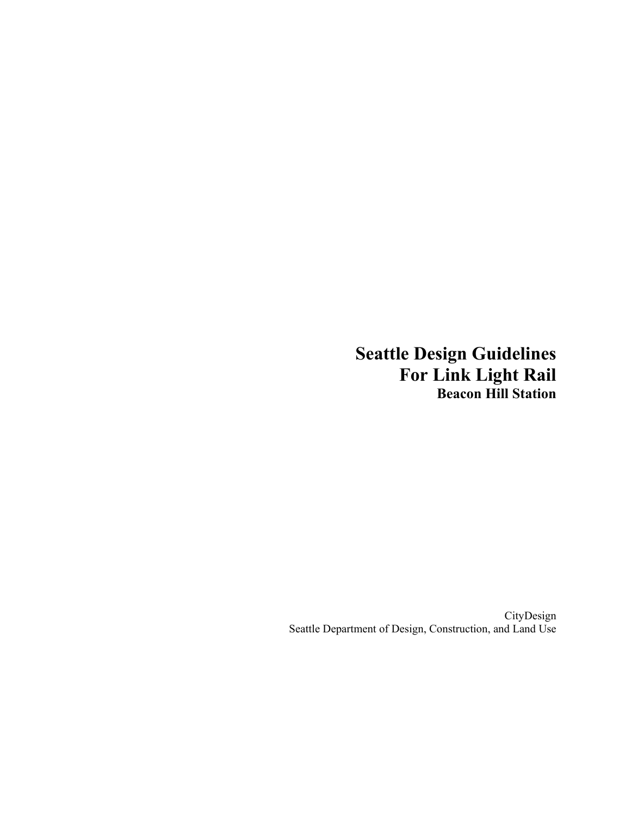**Seattle Design Guidelines For Link Light Rail Beacon Hill Station** 

CityDesign Seattle Department of Design, Construction, and Land Use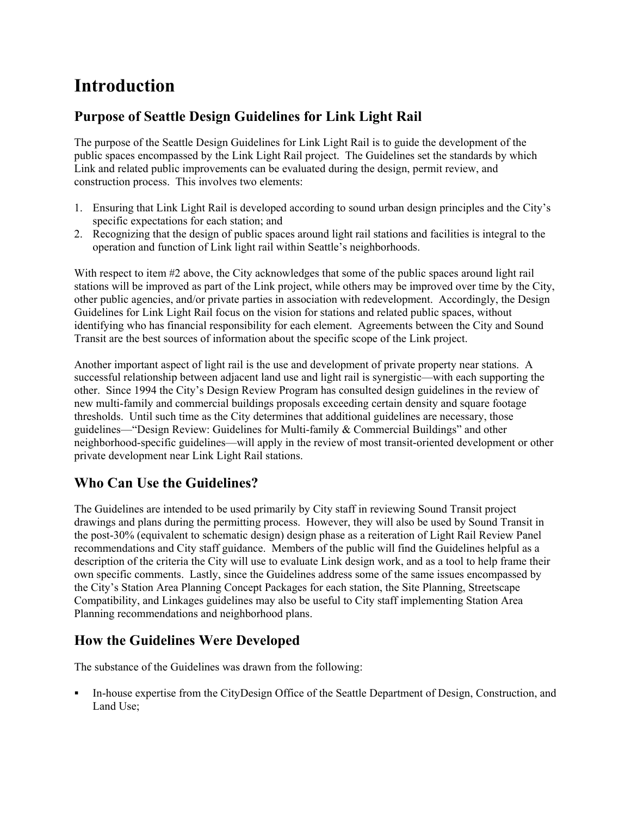# **Introduction**

### **Purpose of Seattle Design Guidelines for Link Light Rail**

The purpose of the Seattle Design Guidelines for Link Light Rail is to guide the development of the public spaces encompassed by the Link Light Rail project. The Guidelines set the standards by which Link and related public improvements can be evaluated during the design, permit review, and construction process. This involves two elements:

- 1. Ensuring that Link Light Rail is developed according to sound urban design principles and the City's specific expectations for each station; and
- 2. Recognizing that the design of public spaces around light rail stations and facilities is integral to the operation and function of Link light rail within Seattle's neighborhoods.

With respect to item #2 above, the City acknowledges that some of the public spaces around light rail stations will be improved as part of the Link project, while others may be improved over time by the City, other public agencies, and/or private parties in association with redevelopment. Accordingly, the Design Guidelines for Link Light Rail focus on the vision for stations and related public spaces, without identifying who has financial responsibility for each element. Agreements between the City and Sound Transit are the best sources of information about the specific scope of the Link project.

Another important aspect of light rail is the use and development of private property near stations. A successful relationship between adjacent land use and light rail is synergistic—with each supporting the other. Since 1994 the City's Design Review Program has consulted design guidelines in the review of new multi-family and commercial buildings proposals exceeding certain density and square footage thresholds. Until such time as the City determines that additional guidelines are necessary, those guidelines—"Design Review: Guidelines for Multi-family & Commercial Buildings" and other neighborhood-specific guidelines—will apply in the review of most transit-oriented development or other private development near Link Light Rail stations.

## **Who Can Use the Guidelines?**

The Guidelines are intended to be used primarily by City staff in reviewing Sound Transit project drawings and plans during the permitting process. However, they will also be used by Sound Transit in the post-30% (equivalent to schematic design) design phase as a reiteration of Light Rail Review Panel recommendations and City staff guidance. Members of the public will find the Guidelines helpful as a description of the criteria the City will use to evaluate Link design work, and as a tool to help frame their own specific comments. Lastly, since the Guidelines address some of the same issues encompassed by the City's Station Area Planning Concept Packages for each station, the Site Planning, Streetscape Compatibility, and Linkages guidelines may also be useful to City staff implementing Station Area Planning recommendations and neighborhood plans.

## **How the Guidelines Were Developed**

The substance of the Guidelines was drawn from the following:

 In-house expertise from the CityDesign Office of the Seattle Department of Design, Construction, and Land Use;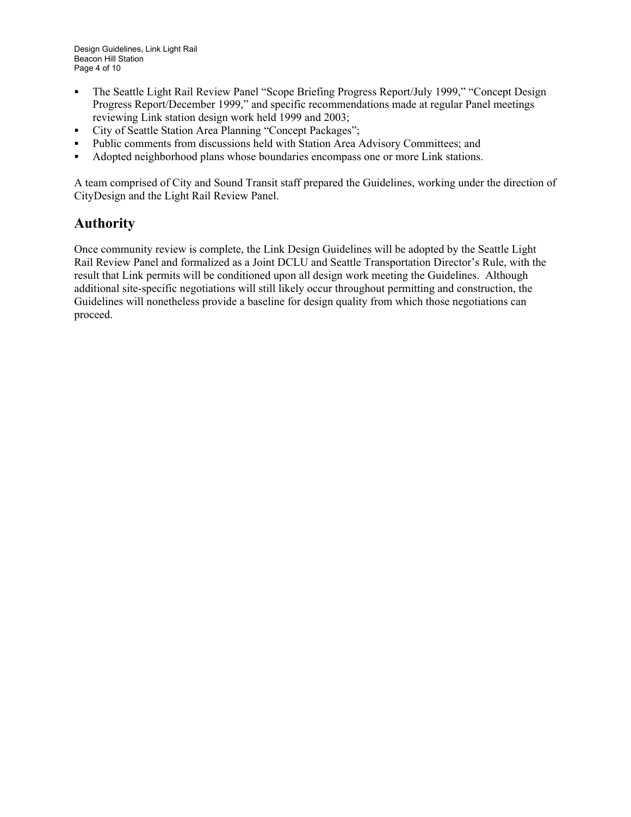- The Seattle Light Rail Review Panel "Scope Briefing Progress Report/July 1999," "Concept Design Progress Report/December 1999," and specific recommendations made at regular Panel meetings reviewing Link station design work held 1999 and 2003;
- City of Seattle Station Area Planning "Concept Packages";
- Public comments from discussions held with Station Area Advisory Committees; and
- Adopted neighborhood plans whose boundaries encompass one or more Link stations.

A team comprised of City and Sound Transit staff prepared the Guidelines, working under the direction of CityDesign and the Light Rail Review Panel.

#### **Authority**

Once community review is complete, the Link Design Guidelines will be adopted by the Seattle Light Rail Review Panel and formalized as a Joint DCLU and Seattle Transportation Director's Rule, with the result that Link permits will be conditioned upon all design work meeting the Guidelines. Although additional site-specific negotiations will still likely occur throughout permitting and construction, the Guidelines will nonetheless provide a baseline for design quality from which those negotiations can proceed.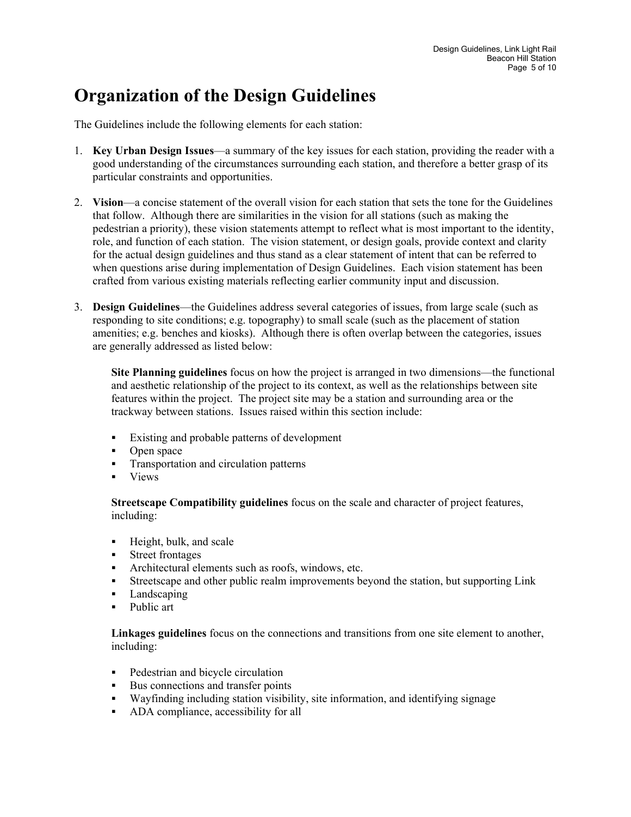# **Organization of the Design Guidelines**

The Guidelines include the following elements for each station:

- 1. **Key Urban Design Issues**—a summary of the key issues for each station, providing the reader with a good understanding of the circumstances surrounding each station, and therefore a better grasp of its particular constraints and opportunities.
- 2. **Vision**—a concise statement of the overall vision for each station that sets the tone for the Guidelines that follow. Although there are similarities in the vision for all stations (such as making the pedestrian a priority), these vision statements attempt to reflect what is most important to the identity, role, and function of each station. The vision statement, or design goals, provide context and clarity for the actual design guidelines and thus stand as a clear statement of intent that can be referred to when questions arise during implementation of Design Guidelines. Each vision statement has been crafted from various existing materials reflecting earlier community input and discussion.
- 3. **Design Guidelines**—the Guidelines address several categories of issues, from large scale (such as responding to site conditions; e.g. topography) to small scale (such as the placement of station amenities; e.g. benches and kiosks). Although there is often overlap between the categories, issues are generally addressed as listed below:

**Site Planning guidelines** focus on how the project is arranged in two dimensions—the functional and aesthetic relationship of the project to its context, as well as the relationships between site features within the project. The project site may be a station and surrounding area or the trackway between stations. Issues raised within this section include:

- Existing and probable patterns of development
- Open space
- **Transportation and circulation patterns**
- Views

**Streetscape Compatibility guidelines** focus on the scale and character of project features, including:

- **Height, bulk, and scale**
- **Street frontages**
- Architectural elements such as roofs, windows, etc.
- Streetscape and other public realm improvements beyond the station, but supporting Link
- Landscaping
- Public art

**Linkages guidelines** focus on the connections and transitions from one site element to another, including:

- Pedestrian and bicycle circulation
- Bus connections and transfer points
- Wayfinding including station visibility, site information, and identifying signage
- ADA compliance, accessibility for all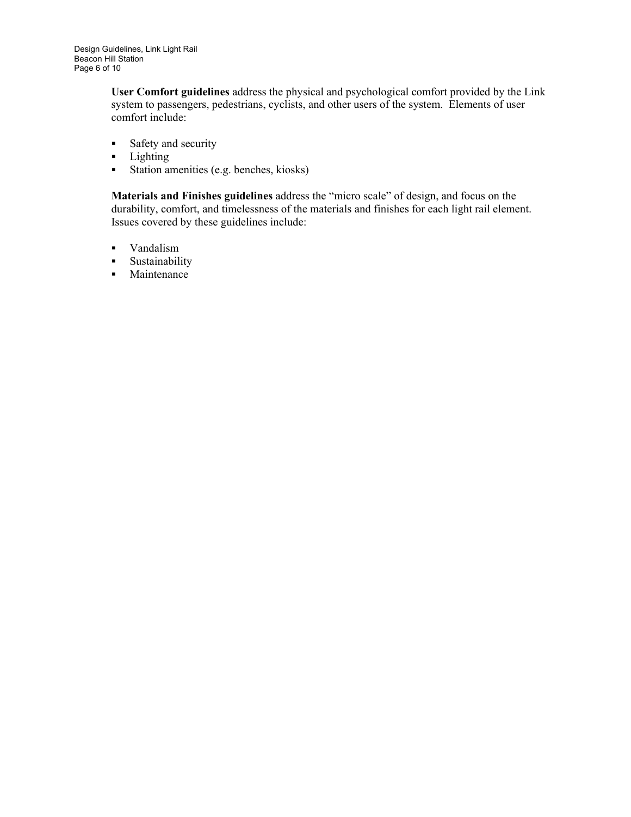**User Comfort guidelines** address the physical and psychological comfort provided by the Link system to passengers, pedestrians, cyclists, and other users of the system. Elements of user comfort include:

- **Safety and security**
- **Lighting**
- Station amenities (e.g. benches, kiosks)

**Materials and Finishes guidelines** address the "micro scale" of design, and focus on the durability, comfort, and timelessness of the materials and finishes for each light rail element. Issues covered by these guidelines include:

- Vandalism
- **Sustainability**
- Maintenance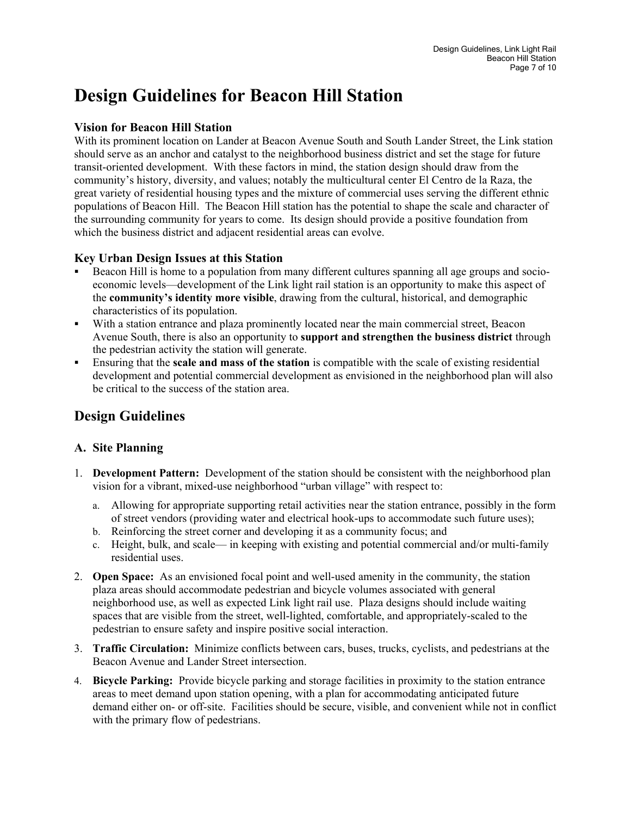# **Design Guidelines for Beacon Hill Station**

#### **Vision for Beacon Hill Station**

With its prominent location on Lander at Beacon Avenue South and South Lander Street, the Link station should serve as an anchor and catalyst to the neighborhood business district and set the stage for future transit-oriented development. With these factors in mind, the station design should draw from the community's history, diversity, and values; notably the multicultural center El Centro de la Raza, the great variety of residential housing types and the mixture of commercial uses serving the different ethnic populations of Beacon Hill. The Beacon Hill station has the potential to shape the scale and character of the surrounding community for years to come. Its design should provide a positive foundation from which the business district and adjacent residential areas can evolve.

#### **Key Urban Design Issues at this Station**

- Beacon Hill is home to a population from many different cultures spanning all age groups and socioeconomic levels—development of the Link light rail station is an opportunity to make this aspect of the **community's identity more visible**, drawing from the cultural, historical, and demographic characteristics of its population.
- With a station entrance and plaza prominently located near the main commercial street, Beacon Avenue South, there is also an opportunity to **support and strengthen the business district** through the pedestrian activity the station will generate.
- Ensuring that the **scale and mass of the station** is compatible with the scale of existing residential development and potential commercial development as envisioned in the neighborhood plan will also be critical to the success of the station area.

## **Design Guidelines**

#### **A. Site Planning**

- 1. **Development Pattern:** Development of the station should be consistent with the neighborhood plan vision for a vibrant, mixed-use neighborhood "urban village" with respect to:
	- a. Allowing for appropriate supporting retail activities near the station entrance, possibly in the form of street vendors (providing water and electrical hook-ups to accommodate such future uses);
	- b. Reinforcing the street corner and developing it as a community focus; and
	- c. Height, bulk, and scale— in keeping with existing and potential commercial and/or multi-family residential uses.
- 2. **Open Space:** As an envisioned focal point and well-used amenity in the community, the station plaza areas should accommodate pedestrian and bicycle volumes associated with general neighborhood use, as well as expected Link light rail use. Plaza designs should include waiting spaces that are visible from the street, well-lighted, comfortable, and appropriately-scaled to the pedestrian to ensure safety and inspire positive social interaction.
- 3. **Traffic Circulation:** Minimize conflicts between cars, buses, trucks, cyclists, and pedestrians at the Beacon Avenue and Lander Street intersection.
- 4. **Bicycle Parking:** Provide bicycle parking and storage facilities in proximity to the station entrance areas to meet demand upon station opening, with a plan for accommodating anticipated future demand either on- or off-site. Facilities should be secure, visible, and convenient while not in conflict with the primary flow of pedestrians.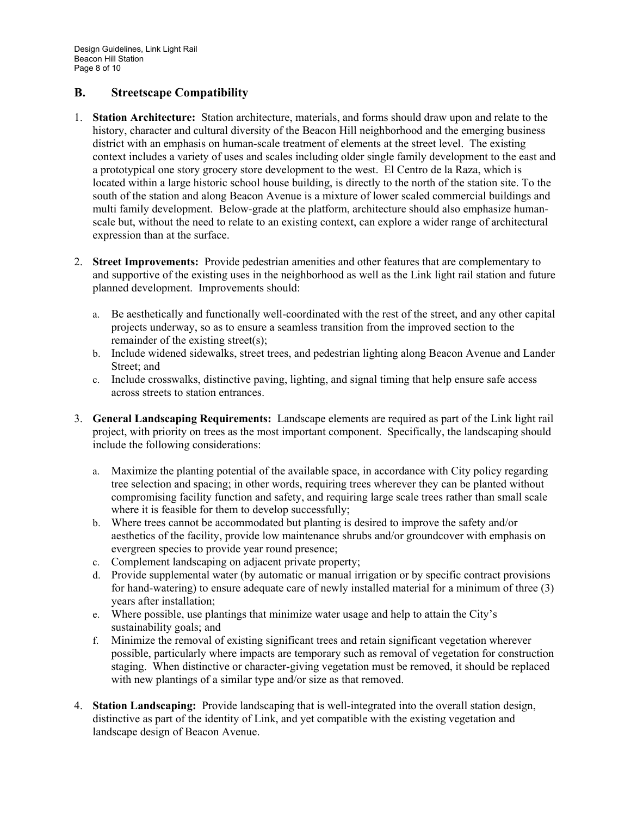#### **B. Streetscape Compatibility**

- 1. **Station Architecture:** Station architecture, materials, and forms should draw upon and relate to the history, character and cultural diversity of the Beacon Hill neighborhood and the emerging business district with an emphasis on human-scale treatment of elements at the street level. The existing context includes a variety of uses and scales including older single family development to the east and a prototypical one story grocery store development to the west. El Centro de la Raza, which is located within a large historic school house building, is directly to the north of the station site. To the south of the station and along Beacon Avenue is a mixture of lower scaled commercial buildings and multi family development. Below-grade at the platform, architecture should also emphasize humanscale but, without the need to relate to an existing context, can explore a wider range of architectural expression than at the surface.
- 2. **Street Improvements:** Provide pedestrian amenities and other features that are complementary to and supportive of the existing uses in the neighborhood as well as the Link light rail station and future planned development. Improvements should:
	- a. Be aesthetically and functionally well-coordinated with the rest of the street, and any other capital projects underway, so as to ensure a seamless transition from the improved section to the remainder of the existing street(s);
	- b. Include widened sidewalks, street trees, and pedestrian lighting along Beacon Avenue and Lander Street; and
	- c. Include crosswalks, distinctive paving, lighting, and signal timing that help ensure safe access across streets to station entrances.
- 3. **General Landscaping Requirements:** Landscape elements are required as part of the Link light rail project, with priority on trees as the most important component. Specifically, the landscaping should include the following considerations:
	- a. Maximize the planting potential of the available space, in accordance with City policy regarding tree selection and spacing; in other words, requiring trees wherever they can be planted without compromising facility function and safety, and requiring large scale trees rather than small scale where it is feasible for them to develop successfully;
	- b. Where trees cannot be accommodated but planting is desired to improve the safety and/or aesthetics of the facility, provide low maintenance shrubs and/or groundcover with emphasis on evergreen species to provide year round presence;
	- c. Complement landscaping on adjacent private property;
	- d. Provide supplemental water (by automatic or manual irrigation or by specific contract provisions for hand-watering) to ensure adequate care of newly installed material for a minimum of three (3) years after installation;
	- e. Where possible, use plantings that minimize water usage and help to attain the City's sustainability goals; and
	- f. Minimize the removal of existing significant trees and retain significant vegetation wherever possible, particularly where impacts are temporary such as removal of vegetation for construction staging. When distinctive or character-giving vegetation must be removed, it should be replaced with new plantings of a similar type and/or size as that removed.
- 4. **Station Landscaping:** Provide landscaping that is well-integrated into the overall station design, distinctive as part of the identity of Link, and yet compatible with the existing vegetation and landscape design of Beacon Avenue.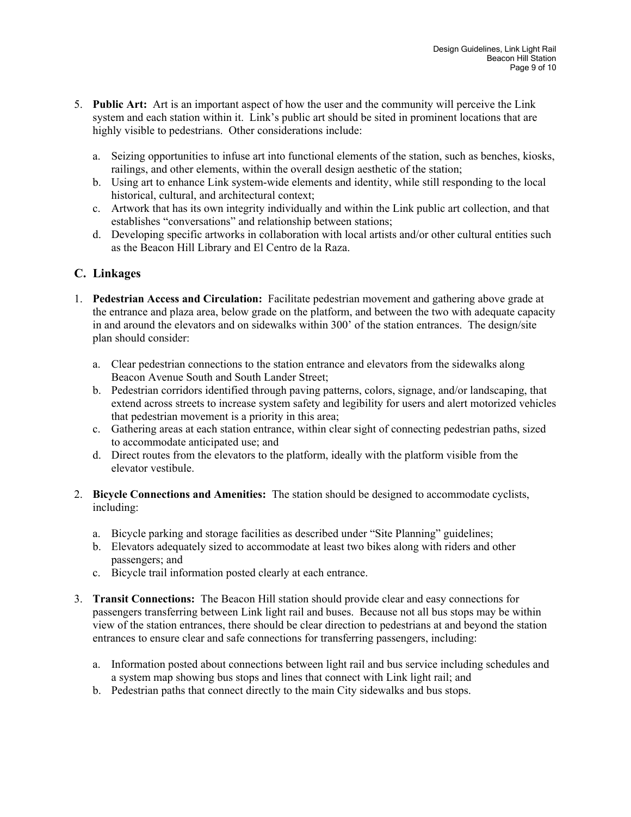- 5. **Public Art:** Art is an important aspect of how the user and the community will perceive the Link system and each station within it. Link's public art should be sited in prominent locations that are highly visible to pedestrians. Other considerations include:
	- a. Seizing opportunities to infuse art into functional elements of the station, such as benches, kiosks, railings, and other elements, within the overall design aesthetic of the station;
	- b. Using art to enhance Link system-wide elements and identity, while still responding to the local historical, cultural, and architectural context;
	- c. Artwork that has its own integrity individually and within the Link public art collection, and that establishes "conversations" and relationship between stations;
	- d. Developing specific artworks in collaboration with local artists and/or other cultural entities such as the Beacon Hill Library and El Centro de la Raza.

#### **C. Linkages**

- 1. **Pedestrian Access and Circulation:** Facilitate pedestrian movement and gathering above grade at the entrance and plaza area, below grade on the platform, and between the two with adequate capacity in and around the elevators and on sidewalks within 300' of the station entrances. The design/site plan should consider:
	- a. Clear pedestrian connections to the station entrance and elevators from the sidewalks along Beacon Avenue South and South Lander Street;
	- b. Pedestrian corridors identified through paving patterns, colors, signage, and/or landscaping, that extend across streets to increase system safety and legibility for users and alert motorized vehicles that pedestrian movement is a priority in this area;
	- c. Gathering areas at each station entrance, within clear sight of connecting pedestrian paths, sized to accommodate anticipated use; and
	- d. Direct routes from the elevators to the platform, ideally with the platform visible from the elevator vestibule.
- 2. **Bicycle Connections and Amenities:** The station should be designed to accommodate cyclists, including:
	- a. Bicycle parking and storage facilities as described under "Site Planning" guidelines;
	- b. Elevators adequately sized to accommodate at least two bikes along with riders and other passengers; and
	- c. Bicycle trail information posted clearly at each entrance.
- 3. **Transit Connections:** The Beacon Hill station should provide clear and easy connections for passengers transferring between Link light rail and buses. Because not all bus stops may be within view of the station entrances, there should be clear direction to pedestrians at and beyond the station entrances to ensure clear and safe connections for transferring passengers, including:
	- a. Information posted about connections between light rail and bus service including schedules and a system map showing bus stops and lines that connect with Link light rail; and
	- b. Pedestrian paths that connect directly to the main City sidewalks and bus stops.